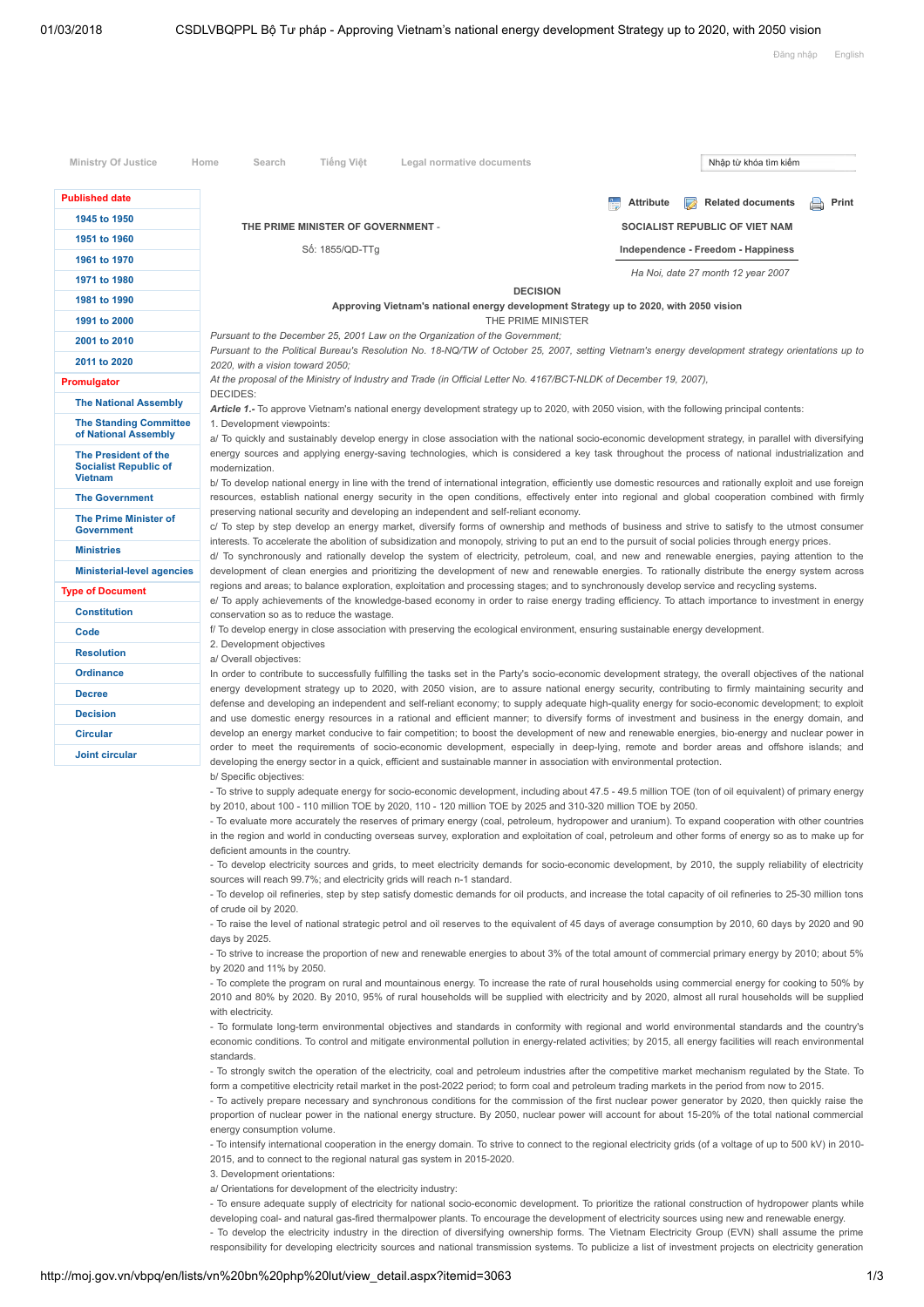| <b>Published date</b>                                                         |                                                                                                                                                                                                                                                                                                                                         | <b>Attribute</b><br><b>Related documents</b><br>B | Print |
|-------------------------------------------------------------------------------|-----------------------------------------------------------------------------------------------------------------------------------------------------------------------------------------------------------------------------------------------------------------------------------------------------------------------------------------|---------------------------------------------------|-------|
| 1945 to 1950                                                                  | THE PRIME MINISTER OF GOVERNMENT -                                                                                                                                                                                                                                                                                                      | SOCIALIST REPUBLIC OF VIET NAM                    |       |
| 1951 to 1960                                                                  | Số: 1855/QD-TTg                                                                                                                                                                                                                                                                                                                         | Independence - Freedom - Happiness                |       |
| 1961 to 1970                                                                  |                                                                                                                                                                                                                                                                                                                                         |                                                   |       |
| 1971 to 1980                                                                  | Ha Noi, date 27 month 12 year 2007                                                                                                                                                                                                                                                                                                      |                                                   |       |
| 1981 to 1990                                                                  | <b>DECISION</b><br>Approving Vietnam's national energy development Strategy up to 2020, with 2050 vision                                                                                                                                                                                                                                |                                                   |       |
| 1991 to 2000                                                                  | THE PRIME MINISTER                                                                                                                                                                                                                                                                                                                      |                                                   |       |
| 2001 to 2010                                                                  | Pursuant to the December 25, 2001 Law on the Organization of the Government;                                                                                                                                                                                                                                                            |                                                   |       |
| 2011 to 2020                                                                  | Pursuant to the Political Bureau's Resolution No. 18-NQ/TW of October 25, 2007, setting Vietnam's energy development strategy orientations up to<br>2020, with a vision toward 2050;                                                                                                                                                    |                                                   |       |
| Promulgator                                                                   | At the proposal of the Ministry of Industry and Trade (in Official Letter No. 4167/BCT-NLDK of December 19, 2007),                                                                                                                                                                                                                      |                                                   |       |
| <b>The National Assembly</b>                                                  | DECIDES:                                                                                                                                                                                                                                                                                                                                |                                                   |       |
| <b>The Standing Committee</b>                                                 | Article 1.- To approve Vietnam's national energy development strategy up to 2020, with 2050 vision, with the following principal contents:                                                                                                                                                                                              |                                                   |       |
| of National Assembly                                                          | 1. Development viewpoints:<br>a/ To quickly and sustainably develop energy in close association with the national socio-economic development strategy, in parallel with diversifying<br>energy sources and applying energy-saving technologies, which is considered a key task throughout the process of national industrialization and |                                                   |       |
| <b>The President of the</b><br><b>Socialist Republic of</b><br><b>Vietnam</b> | modernization.<br>b/To develop national energy in line with the trend of international integration, efficiently use domestic resources and rationally exploit and use foreign                                                                                                                                                           |                                                   |       |
| <b>The Government</b>                                                         | resources, establish national energy security in the open conditions, effectively enter into regional and global cooperation combined with firmly                                                                                                                                                                                       |                                                   |       |
| <b>The Prime Minister of</b><br><b>Government</b>                             | preserving national security and developing an independent and self-reliant economy.<br>c/ To step by step develop an energy market, diversify forms of ownership and methods of business and strive to satisfy to the utmost consumer                                                                                                  |                                                   |       |
| <b>Ministries</b>                                                             | interests. To accelerate the abolition of subsidization and monopoly, striving to put an end to the pursuit of social policies through energy prices.                                                                                                                                                                                   |                                                   |       |
| <b>Ministerial-level agencies</b>                                             | d/ To synchronously and rationally develop the system of electricity, petroleum, coal, and new and renewable energies, paying attention to the<br>development of clean energies and prioritizing the development of new and renewable energies. To rationally distribute the energy system across                                       |                                                   |       |
| <b>Type of Document</b>                                                       | regions and areas; to balance exploration, exploitation and processing stages; and to synchronously develop service and recycling systems.                                                                                                                                                                                              |                                                   |       |
| <b>Constitution</b>                                                           | e/ To apply achievements of the knowledge-based economy in order to raise energy trading efficiency. To attach importance to investment in energy                                                                                                                                                                                       |                                                   |       |
| Code                                                                          | conservation so as to reduce the wastage.<br>f/To develop energy in close association with preserving the ecological environment, ensuring sustainable energy development.                                                                                                                                                              |                                                   |       |
| <b>Resolution</b>                                                             | 2. Development objectives<br>a/ Overall objectives:                                                                                                                                                                                                                                                                                     |                                                   |       |
| <b>Ordinance</b>                                                              | In order to contribute to successfully fulfilling the tasks set in the Party's socio-economic development strategy, the overall objectives of the national                                                                                                                                                                              |                                                   |       |
| <b>Decree</b>                                                                 | energy development strategy up to 2020, with 2050 vision, are to assure national energy security, contributing to firmly maintaining security and                                                                                                                                                                                       |                                                   |       |
| <b>Decision</b>                                                               | defense and developing an independent and self-reliant economy; to supply adequate high-quality energy for socio-economic development; to exploit                                                                                                                                                                                       |                                                   |       |
| <b>Circular</b>                                                               | and use domestic energy resources in a rational and efficient manner; to diversify forms of investment and business in the energy domain, and<br>develop an energy market conducive to fair competition; to boost the development of new and renewable energies, bio-energy and nuclear power in                                        |                                                   |       |
| <b>Joint circular</b>                                                         | order to meet the requirements of socio-economic development, especially in deep-lying, remote and border areas and offshore islands; and                                                                                                                                                                                               |                                                   |       |
|                                                                               | developing the energy sector in a quick, efficient and sustainable manner in association with environmental protection.                                                                                                                                                                                                                 |                                                   |       |
|                                                                               | b/ Specific objectives:<br>- To strive to supply adequate energy for socio-economic development, including about 47.5 - 49.5 million TOE (ton of oil equivalent) of primary energy                                                                                                                                                      |                                                   |       |
|                                                                               | by 2010, about 100 - 110 million TOE by 2020, 110 - 120 million TOE by 2025 and 310-320 million TOE by 2050.                                                                                                                                                                                                                            |                                                   |       |
|                                                                               | - To evaluate more accurately the reserves of primary energy (coal, petroleum, hydropower and uranium). To expand cooperation with other countries                                                                                                                                                                                      |                                                   |       |
|                                                                               | in the region and world in conducting overseas survey, exploration and exploitation of coal, petroleum and other forms of energy so as to make up for<br>deficient amounts in the country.                                                                                                                                              |                                                   |       |
|                                                                               | - To develop electricity sources and grids, to meet electricity demands for socio-economic development, by 2010, the supply reliability of electricity                                                                                                                                                                                  |                                                   |       |
|                                                                               | sources will reach 99.7%; and electricity grids will reach n-1 standard.                                                                                                                                                                                                                                                                |                                                   |       |
|                                                                               | - To develop oil refineries, step by step satisfy domestic demands for oil products, and increase the total capacity of oil refineries to 25-30 million tons<br>of crude oil by 2020.                                                                                                                                                   |                                                   |       |
|                                                                               | - To raise the level of national strategic petrol and oil reserves to the equivalent of 45 days of average consumption by 2010, 60 days by 2020 and 90                                                                                                                                                                                  |                                                   |       |
|                                                                               | days by 2025.                                                                                                                                                                                                                                                                                                                           |                                                   |       |
|                                                                               | - To strive to increase the proportion of new and renewable energies to about 3% of the total amount of commercial primary energy by 2010; about 5%                                                                                                                                                                                     |                                                   |       |
|                                                                               | by 2020 and 11% by 2050.<br>- To complete the program on rural and mountainous energy. To increase the rate of rural households using commercial energy for cooking to 50% by                                                                                                                                                           |                                                   |       |
|                                                                               | 2010 and 80% by 2020. By 2010, 95% of rural households will be supplied with electricity and by 2020, almost all rural households will be supplied<br>with electricity.                                                                                                                                                                 |                                                   |       |
|                                                                               | - To formulate long-term environmental objectives and standards in conformity with regional and world environmental standards and the country's                                                                                                                                                                                         |                                                   |       |
|                                                                               | economic conditions. To control and mitigate environmental pollution in energy-related activities; by 2015, all energy facilities will reach environmental<br>standards.                                                                                                                                                                |                                                   |       |
|                                                                               | - To strongly switch the operation of the electricity, coal and petroleum industries after the competitive market mechanism regulated by the State. To                                                                                                                                                                                  |                                                   |       |
|                                                                               | form a competitive electricity retail market in the post-2022 period; to form coal and petroleum trading markets in the period from now to 2015.<br>- To actively prepare necessary and synchronous conditions for the commission of the first nuclear power generator by 2020, then quickly raise the                                  |                                                   |       |
|                                                                               | proportion of nuclear power in the national energy structure. By 2050, nuclear power will account for about 15-20% of the total national commercial                                                                                                                                                                                     |                                                   |       |
|                                                                               | energy consumption volume.                                                                                                                                                                                                                                                                                                              |                                                   |       |
|                                                                               | - To intensify international cooperation in the energy domain. To strive to connect to the regional electricity grids (of a voltage of up to 500 kV) in 2010-                                                                                                                                                                           |                                                   |       |
|                                                                               | 2015, and to connect to the regional natural gas system in 2015-2020.<br>3. Development orientations:                                                                                                                                                                                                                                   |                                                   |       |
|                                                                               | a/ Orientations for development of the electricity industry:                                                                                                                                                                                                                                                                            |                                                   |       |
|                                                                               | - To ensure adequate supply of electricity for national socio-economic development. To prioritize the rational construction of hydropower plants while                                                                                                                                                                                  |                                                   |       |

- To develop the electricity industry in the direction of diversifying ownership forms. The Vietnam Electricity Group (EVN) shall assume the prime responsibility for developing electricity sources and national transmission systems. To publicize a list of investment projects on electricity generation

http://moj.gov.vn/vbpq/en/lists/vn%20bn%20php%20lut/view\_detail.aspx?itemid=3063 1/3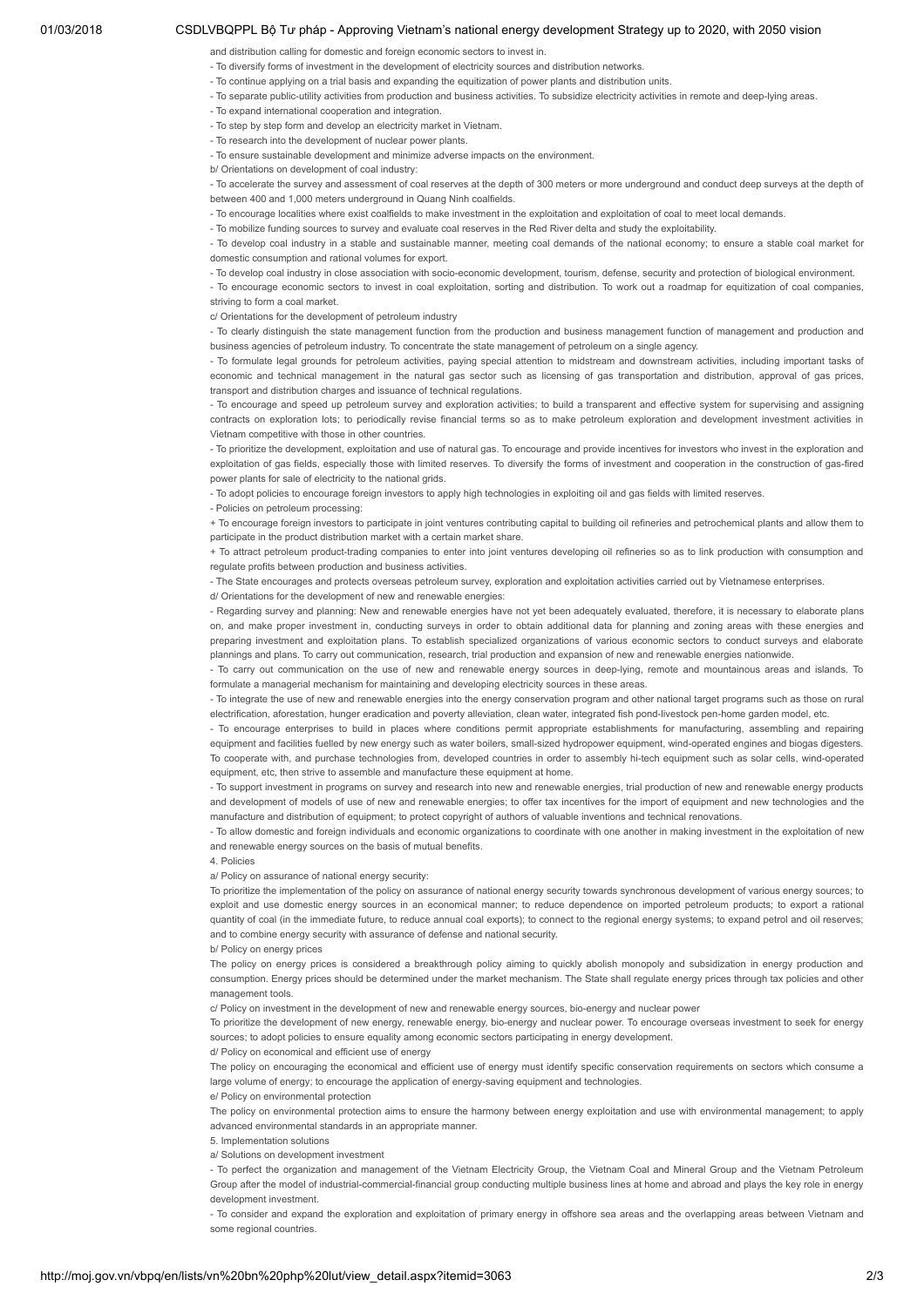## 01/03/2018 CSDLVBQPPL Bộ Tư pháp - Approving Vietnam's national energy development Strategy up to 2020, with 2050 vision

and distribution calling for domestic and foreign economic sectors to invest in.

- To diversify forms of investment in the development of electricity sources and distribution networks.
- To continue applying on a trial basis and expanding the equitization of power plants and distribution units.
- To separate public-utility activities from production and business activities. To subsidize electricity activities in remote and deep-lying areas.
	- To expand international cooperation and integration.
- To step by step form and develop an electricity market in Vietnam.
- To research into the development of nuclear power plants.

- To ensure sustainable development and minimize adverse impacts on the environment.

b/ Orientations on development of coal industry:

- To accelerate the survey and assessment of coal reserves at the depth of 300 meters or more underground and conduct deep surveys at the depth of between 400 and 1,000 meters underground in Quang Ninh coalfields.

- To encourage localities where exist coalfields to make investment in the exploitation and exploitation of coal to meet local demands.

- To mobilize funding sources to survey and evaluate coal reserves in the Red River delta and study the exploitability.

- To develop coal industry in a stable and sustainable manner, meeting coal demands of the national economy; to ensure a stable coal market for domestic consumption and rational volumes for export.

- To develop coal industry in close association with socio-economic development, tourism, defense, security and protection of biological environment.

- To encourage economic sectors to invest in coal exploitation, sorting and distribution. To work out a roadmap for equitization of coal companies, striving to form a coal market.

c/ Orientations for the development of petroleum industry

- To clearly distinguish the state management function from the production and business management function of management and production and business agencies of petroleum industry. To concentrate the state management of petroleum on a single agency.

- To formulate legal grounds for petroleum activities, paying special attention to midstream and downstream activities, including important tasks of economic and technical management in the natural gas sector such as licensing of gas transportation and distribution, approval of gas prices, transport and distribution charges and issuance of technical regulations.

- To encourage and speed up petroleum survey and exploration activities; to build a transparent and effective system for supervising and assigning contracts on exploration lots; to periodically revise financial terms so as to make petroleum exploration and development investment activities in Vietnam competitive with those in other countries.

- To prioritize the development, exploitation and use of natural gas. To encourage and provide incentives for investors who invest in the exploration and exploitation of gas fields, especially those with limited reserves. To diversify the forms of investment and cooperation in the construction of gas-fired power plants for sale of electricity to the national grids.

- To adopt policies to encourage foreign investors to apply high technologies in exploiting oil and gas fields with limited reserves.

- Policies on petroleum processing:

+ To encourage foreign investors to participate in joint ventures contributing capital to building oil refineries and petrochemical plants and allow them to participate in the product distribution market with a certain market share.

+ To attract petroleum product-trading companies to enter into joint ventures developing oil refineries so as to link production with consumption and regulate profits between production and business activities.

- The State encourages and protects overseas petroleum survey, exploration and exploitation activities carried out by Vietnamese enterprises.

d/ Orientations for the development of new and renewable energies:

- Regarding survey and planning: New and renewable energies have not yet been adequately evaluated, therefore, it is necessary to elaborate plans on, and make proper investment in, conducting surveys in order to obtain additional data for planning and zoning areas with these energies and preparing investment and exploitation plans. To establish specialized organizations of various economic sectors to conduct surveys and elaborate plannings and plans. To carry out communication, research, trial production and expansion of new and renewable energies nationwide.

- To carry out communication on the use of new and renewable energy sources in deep-lying, remote and mountainous areas and islands. To formulate a managerial mechanism for maintaining and developing electricity sources in these areas.

- To integrate the use of new and renewable energies into the energy conservation program and other national target programs such as those on rural electrification, aforestation, hunger eradication and poverty alleviation, clean water, integrated fish pond-livestock pen-home garden model, etc.

- To encourage enterprises to build in places where conditions permit appropriate establishments for manufacturing, assembling and repairing equipment and facilities fuelled by new energy such as water boilers, small-sized hydropower equipment, wind-operated engines and biogas digesters. To cooperate with, and purchase technologies from, developed countries in order to assembly hi-tech equipment such as solar cells, wind-operated equipment, etc, then strive to assemble and manufacture these equipment at home.

- To support investment in programs on survey and research into new and renewable energies, trial production of new and renewable energy products and development of models of use of new and renewable energies; to offer tax incentives for the import of equipment and new technologies and the manufacture and distribution of equipment; to protect copyright of authors of valuable inventions and technical renovations.

- To allow domestic and foreign individuals and economic organizations to coordinate with one another in making investment in the exploitation of new and renewable energy sources on the basis of mutual benefits.

4. Policies

a/ Policy on assurance of national energy security:

To prioritize the implementation of the policy on assurance of national energy security towards synchronous development of various energy sources; to exploit and use domestic energy sources in an economical manner; to reduce dependence on imported petroleum products; to export a rational quantity of coal (in the immediate future, to reduce annual coal exports); to connect to the regional energy systems; to expand petrol and oil reserves; and to combine energy security with assurance of defense and national security.

b/ Policy on energy prices

The policy on energy prices is considered a breakthrough policy aiming to quickly abolish monopoly and subsidization in energy production and consumption. Energy prices should be determined under the market mechanism. The State shall regulate energy prices through tax policies and other management tools.

c/ Policy on investment in the development of new and renewable energy sources, bio-energy and nuclear power

To prioritize the development of new energy, renewable energy, bio-energy and nuclear power. To encourage overseas investment to seek for energy sources; to adopt policies to ensure equality among economic sectors participating in energy development.

d/ Policy on economical and efficient use of energy

The policy on encouraging the economical and efficient use of energy must identify specific conservation requirements on sectors which consume a large volume of energy; to encourage the application of energy-saving equipment and technologies.

e/ Policy on environmental protection

The policy on environmental protection aims to ensure the harmony between energy exploitation and use with environmental management; to apply advanced environmental standards in an appropriate manner.

5. Implementation solutions

a/ Solutions on development investment

- To perfect the organization and management of the Vietnam Electricity Group, the Vietnam Coal and Mineral Group and the Vietnam Petroleum Group after the model of industrial-commercial-financial group conducting multiple business lines at home and abroad and plays the key role in energy development investment.

- To consider and expand the exploration and exploitation of primary energy in offshore sea areas and the overlapping areas between Vietnam and some regional countries.